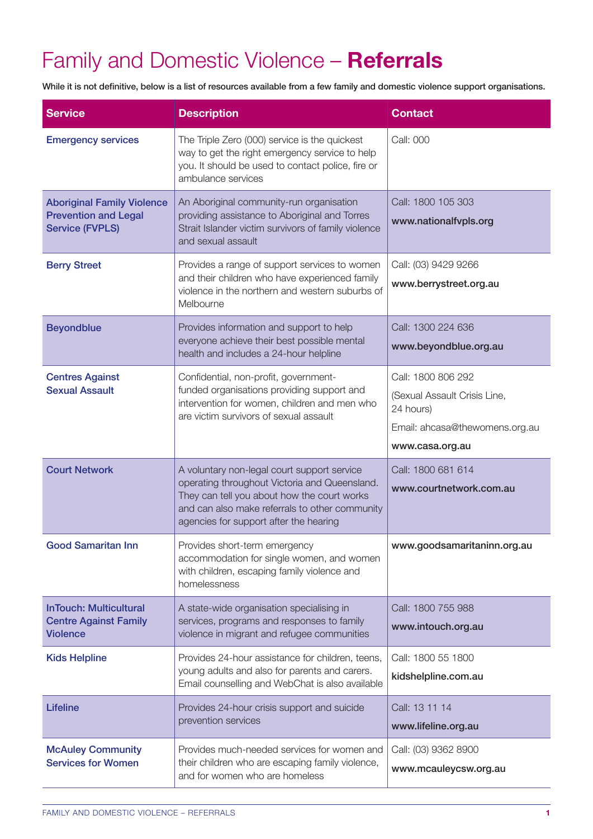## Family and Domestic Violence – **Referrals**

While it is not definitive, below is a list of resources available from a few family and domestic violence support organisations.

| <b>Service</b>                                                                             | <b>Description</b>                                                                                                                                                                                                                      | <b>Contact</b>                                                                                                       |
|--------------------------------------------------------------------------------------------|-----------------------------------------------------------------------------------------------------------------------------------------------------------------------------------------------------------------------------------------|----------------------------------------------------------------------------------------------------------------------|
| <b>Emergency services</b>                                                                  | The Triple Zero (000) service is the quickest<br>way to get the right emergency service to help<br>you. It should be used to contact police, fire or<br>ambulance services                                                              | Call: 000                                                                                                            |
| <b>Aboriginal Family Violence</b><br><b>Prevention and Legal</b><br><b>Service (FVPLS)</b> | An Aboriginal community-run organisation<br>providing assistance to Aboriginal and Torres<br>Strait Islander victim survivors of family violence<br>and sexual assault                                                                  | Call: 1800 105 303<br>www.nationalfvpls.org                                                                          |
| <b>Berry Street</b>                                                                        | Provides a range of support services to women<br>and their children who have experienced family<br>violence in the northern and western suburbs of<br>Melbourne                                                                         | Call: (03) 9429 9266<br>www.berrystreet.org.au                                                                       |
| <b>Beyondblue</b>                                                                          | Provides information and support to help<br>everyone achieve their best possible mental<br>health and includes a 24-hour helpline                                                                                                       | Call: 1300 224 636<br>www.beyondblue.org.au                                                                          |
| <b>Centres Against</b><br><b>Sexual Assault</b>                                            | Confidential, non-profit, government-<br>funded organisations providing support and<br>intervention for women, children and men who<br>are victim survivors of sexual assault                                                           | Call: 1800 806 292<br>(Sexual Assault Crisis Line,<br>24 hours)<br>Email: ahcasa@thewomens.org.au<br>www.casa.org.au |
| <b>Court Network</b>                                                                       | A voluntary non-legal court support service<br>operating throughout Victoria and Queensland.<br>They can tell you about how the court works<br>and can also make referrals to other community<br>agencies for support after the hearing | Call: 1800 681 614<br>www.courtnetwork.com.au                                                                        |
| <b>Good Samaritan Inn</b>                                                                  | Provides short-term emergency<br>accommodation for single women, and women<br>with children, escaping family violence and<br>homelessness                                                                                               | www.goodsamaritaninn.org.au                                                                                          |
| <b>InTouch: Multicultural</b><br><b>Centre Against Family</b><br><b>Violence</b>           | A state-wide organisation specialising in<br>services, programs and responses to family<br>violence in migrant and refugee communities                                                                                                  | Call: 1800 755 988<br>www.intouch.org.au                                                                             |
| <b>Kids Helpline</b>                                                                       | Provides 24-hour assistance for children, teens,<br>young adults and also for parents and carers.<br>Email counselling and WebChat is also available                                                                                    | Call: 1800 55 1800<br>kidshelpline.com.au                                                                            |
| <b>Lifeline</b>                                                                            | Provides 24-hour crisis support and suicide<br>prevention services                                                                                                                                                                      | Call: 13 11 14<br>www.lifeline.org.au                                                                                |
| <b>McAuley Community</b><br><b>Services for Women</b>                                      | Provides much-needed services for women and<br>their children who are escaping family violence,<br>and for women who are homeless                                                                                                       | Call: (03) 9362 8900<br>www.mcauleycsw.org.au                                                                        |